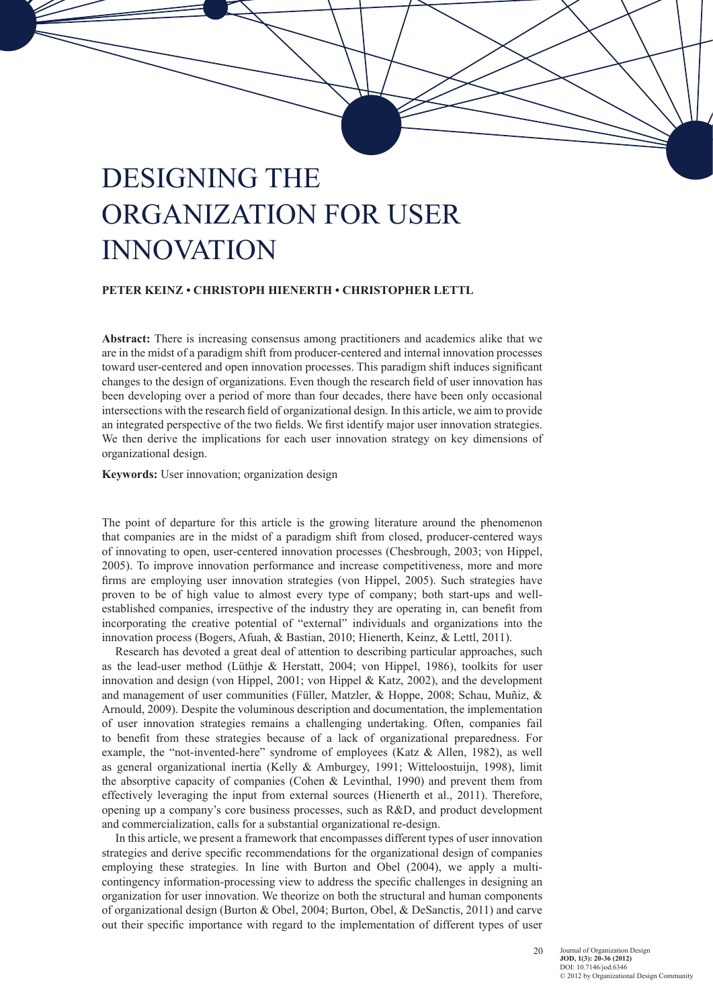# DESIGNING THE Organization for User **INNOVATION**

### **Peter Keinz • Christoph Hienerth • Christopher Lettl**

**Abstract:** There is increasing consensus among practitioners and academics alike that we are in the midst of a paradigm shift from producer-centered and internal innovation processes toward user-centered and open innovation processes. This paradigm shift induces significant changes to the design of organizations. Even though the research field of user innovation has been developing over a period of more than four decades, there have been only occasional intersections with the research field of organizational design. In this article, we aim to provide an integrated perspective of the two fields. We first identify major user innovation strategies. We then derive the implications for each user innovation strategy on key dimensions of organizational design.

**Keywords:** User innovation; organization design

The point of departure for this article is the growing literature around the phenomenon that companies are in the midst of a paradigm shift from closed, producer-centered ways of innovating to open, user-centered innovation processes (Chesbrough, 2003; von Hippel, 2005). To improve innovation performance and increase competitiveness, more and more firms are employing user innovation strategies (von Hippel, 2005). Such strategies have proven to be of high value to almost every type of company; both start-ups and wellestablished companies, irrespective of the industry they are operating in, can benefit from incorporating the creative potential of "external" individuals and organizations into the innovation process (Bogers, Afuah, & Bastian, 2010; Hienerth, Keinz, & Lettl, 2011).

Research has devoted a great deal of attention to describing particular approaches, such as the lead-user method (Lüthje & Herstatt, 2004; von Hippel, 1986), toolkits for user innovation and design (von Hippel, 2001; von Hippel  $\&$  Katz, 2002), and the development and management of user communities (Füller, Matzler, & Hoppe, 2008; Schau, Muñiz, & Arnould, 2009). Despite the voluminous description and documentation, the implementation of user innovation strategies remains a challenging undertaking. Often, companies fail to benefit from these strategies because of a lack of organizational preparedness. For example, the "not-invented-here" syndrome of employees (Katz & Allen, 1982), as well as general organizational inertia (Kelly & Amburgey, 1991; Witteloostuijn, 1998), limit the absorptive capacity of companies (Cohen  $\&$  Levinthal, 1990) and prevent them from effectively leveraging the input from external sources (Hienerth et al., 2011). Therefore, opening up a company's core business processes, such as R&D, and product development and commercialization, calls for a substantial organizational re-design.

In this article, we present a framework that encompasses different types of user innovation strategies and derive specific recommendations for the organizational design of companies employing these strategies. In line with Burton and Obel (2004), we apply a multicontingency information-processing view to address the specific challenges in designing an organization for user innovation. We theorize on both the structural and human components of organizational design (Burton & Obel, 2004; Burton, Obel, & DeSanctis, 2011) and carve out their specific importance with regard to the implementation of different types of user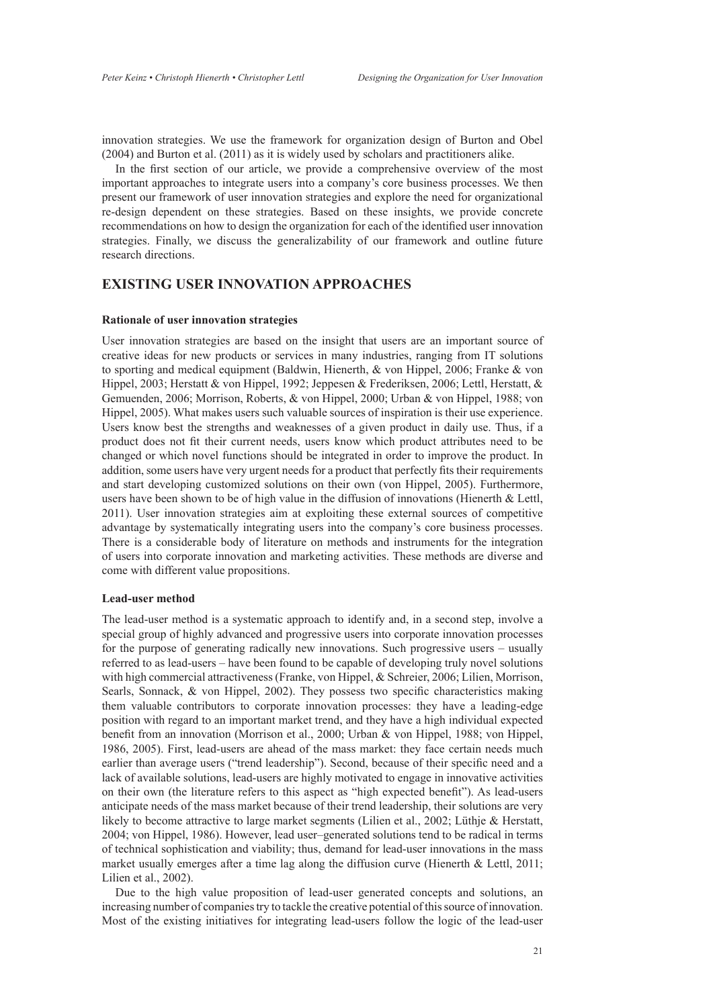innovation strategies. We use the framework for organization design of Burton and Obel (2004) and Burton et al. (2011) as it is widely used by scholars and practitioners alike.

In the first section of our article, we provide a comprehensive overview of the most important approaches to integrate users into a company's core business processes. We then present our framework of user innovation strategies and explore the need for organizational re-design dependent on these strategies. Based on these insights, we provide concrete recommendations on how to design the organization for each of the identified user innovation strategies. Finally, we discuss the generalizability of our framework and outline future research directions.

# **Existing User Innovation Approaches**

### **Rationale of user innovation strategies**

User innovation strategies are based on the insight that users are an important source of creative ideas for new products or services in many industries, ranging from IT solutions to sporting and medical equipment (Baldwin, Hienerth, & von Hippel, 2006; Franke & von Hippel, 2003; Herstatt & von Hippel, 1992; Jeppesen & Frederiksen, 2006; Lettl, Herstatt, & Gemuenden, 2006; Morrison, Roberts, & von Hippel, 2000; Urban & von Hippel, 1988; von Hippel, 2005). What makes users such valuable sources of inspiration is their use experience. Users know best the strengths and weaknesses of a given product in daily use. Thus, if a product does not fit their current needs, users know which product attributes need to be changed or which novel functions should be integrated in order to improve the product. In addition, some users have very urgent needs for a product that perfectly fits their requirements and start developing customized solutions on their own (von Hippel, 2005). Furthermore, users have been shown to be of high value in the diffusion of innovations (Hienerth & Lettl, 2011). User innovation strategies aim at exploiting these external sources of competitive advantage by systematically integrating users into the company's core business processes. There is a considerable body of literature on methods and instruments for the integration of users into corporate innovation and marketing activities. These methods are diverse and come with different value propositions.

### **Lead-user method**

The lead-user method is a systematic approach to identify and, in a second step, involve a special group of highly advanced and progressive users into corporate innovation processes for the purpose of generating radically new innovations. Such progressive users – usually referred to as lead-users – have been found to be capable of developing truly novel solutions with high commercial attractiveness (Franke, von Hippel, & Schreier, 2006; Lilien, Morrison, Searls, Sonnack, & von Hippel, 2002). They possess two specific characteristics making them valuable contributors to corporate innovation processes: they have a leading-edge position with regard to an important market trend, and they have a high individual expected benefit from an innovation (Morrison et al., 2000; Urban & von Hippel, 1988; von Hippel, 1986, 2005). First, lead-users are ahead of the mass market: they face certain needs much earlier than average users ("trend leadership"). Second, because of their specific need and a lack of available solutions, lead-users are highly motivated to engage in innovative activities on their own (the literature refers to this aspect as "high expected benefit"). As lead-users anticipate needs of the mass market because of their trend leadership, their solutions are very likely to become attractive to large market segments (Lilien et al., 2002; Lüthje & Herstatt, 2004; von Hippel, 1986). However, lead user–generated solutions tend to be radical in terms of technical sophistication and viability; thus, demand for lead-user innovations in the mass market usually emerges after a time lag along the diffusion curve (Hienerth & Lettl, 2011; Lilien et al., 2002).

Due to the high value proposition of lead-user generated concepts and solutions, an increasing number of companies try to tackle the creative potential of this source of innovation. Most of the existing initiatives for integrating lead-users follow the logic of the lead-user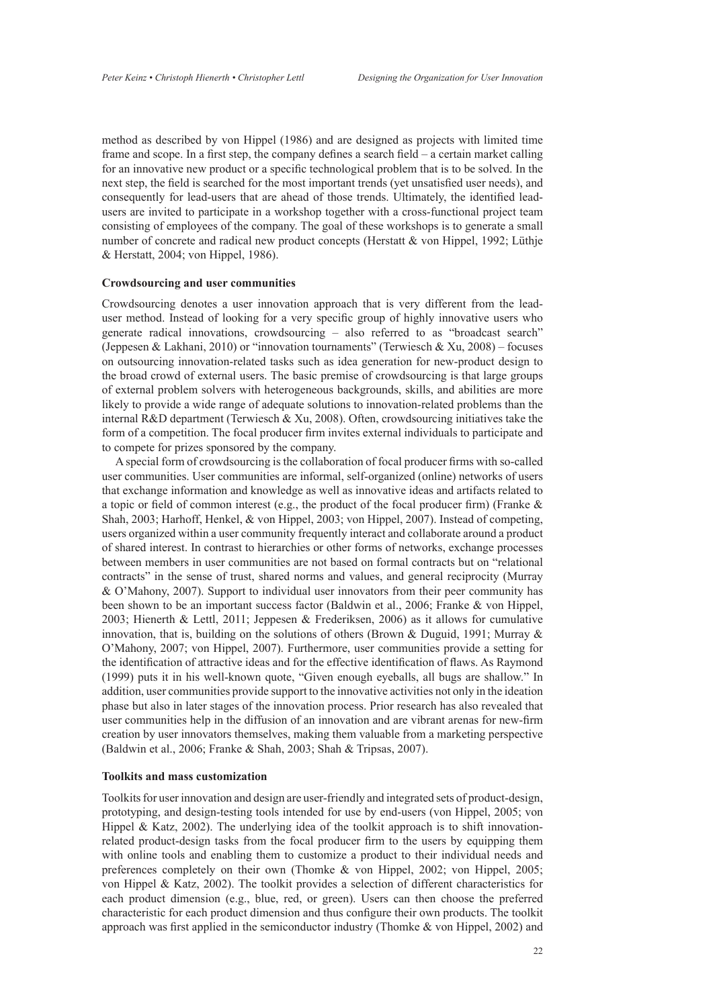method as described by von Hippel (1986) and are designed as projects with limited time frame and scope. In a first step, the company defines a search field – a certain market calling for an innovative new product or a specific technological problem that is to be solved. In the next step, the field is searched for the most important trends (yet unsatisfied user needs), and consequently for lead-users that are ahead of those trends. Ultimately, the identified leadusers are invited to participate in a workshop together with a cross-functional project team consisting of employees of the company. The goal of these workshops is to generate a small number of concrete and radical new product concepts (Herstatt & von Hippel, 1992; Lüthje & Herstatt, 2004; von Hippel, 1986).

### **Crowdsourcing and user communities**

Crowdsourcing denotes a user innovation approach that is very different from the leaduser method. Instead of looking for a very specific group of highly innovative users who generate radical innovations, crowdsourcing – also referred to as "broadcast search" (Jeppesen & Lakhani, 2010) or "innovation tournaments" (Terwiesch & Xu, 2008) – focuses on outsourcing innovation-related tasks such as idea generation for new-product design to the broad crowd of external users. The basic premise of crowdsourcing is that large groups of external problem solvers with heterogeneous backgrounds, skills, and abilities are more likely to provide a wide range of adequate solutions to innovation-related problems than the internal R&D department (Terwiesch & Xu, 2008). Often, crowdsourcing initiatives take the form of a competition. The focal producer firm invites external individuals to participate and to compete for prizes sponsored by the company.

A special form of crowdsourcing is the collaboration of focal producer firms with so-called user communities. User communities are informal, self-organized (online) networks of users that exchange information and knowledge as well as innovative ideas and artifacts related to a topic or field of common interest (e.g., the product of the focal producer firm) (Franke  $\&$ Shah, 2003; Harhoff, Henkel, & von Hippel, 2003; von Hippel, 2007). Instead of competing, users organized within a user community frequently interact and collaborate around a product of shared interest. In contrast to hierarchies or other forms of networks, exchange processes between members in user communities are not based on formal contracts but on "relational contracts" in the sense of trust, shared norms and values, and general reciprocity (Murray & O'Mahony, 2007). Support to individual user innovators from their peer community has been shown to be an important success factor (Baldwin et al., 2006; Franke & von Hippel, 2003; Hienerth & Lettl, 2011; Jeppesen & Frederiksen, 2006) as it allows for cumulative innovation, that is, building on the solutions of others (Brown & Duguid, 1991; Murray & O'Mahony, 2007; von Hippel, 2007). Furthermore, user communities provide a setting for the identification of attractive ideas and for the effective identification of flaws. As Raymond (1999) puts it in his well-known quote, "Given enough eyeballs, all bugs are shallow." In addition, user communities provide support to the innovative activities not only in the ideation phase but also in later stages of the innovation process. Prior research has also revealed that user communities help in the diffusion of an innovation and are vibrant arenas for new-firm creation by user innovators themselves, making them valuable from a marketing perspective (Baldwin et al., 2006; Franke & Shah, 2003; Shah & Tripsas, 2007).

### **Toolkits and mass customization**

Toolkits for user innovation and design are user-friendly and integrated sets of product-design, prototyping, and design-testing tools intended for use by end-users (von Hippel, 2005; von Hippel & Katz, 2002). The underlying idea of the toolkit approach is to shift innovationrelated product-design tasks from the focal producer firm to the users by equipping them with online tools and enabling them to customize a product to their individual needs and preferences completely on their own (Thomke & von Hippel, 2002; von Hippel, 2005; von Hippel & Katz, 2002). The toolkit provides a selection of different characteristics for each product dimension (e.g., blue, red, or green). Users can then choose the preferred characteristic for each product dimension and thus configure their own products. The toolkit approach was first applied in the semiconductor industry (Thomke  $&$  von Hippel, 2002) and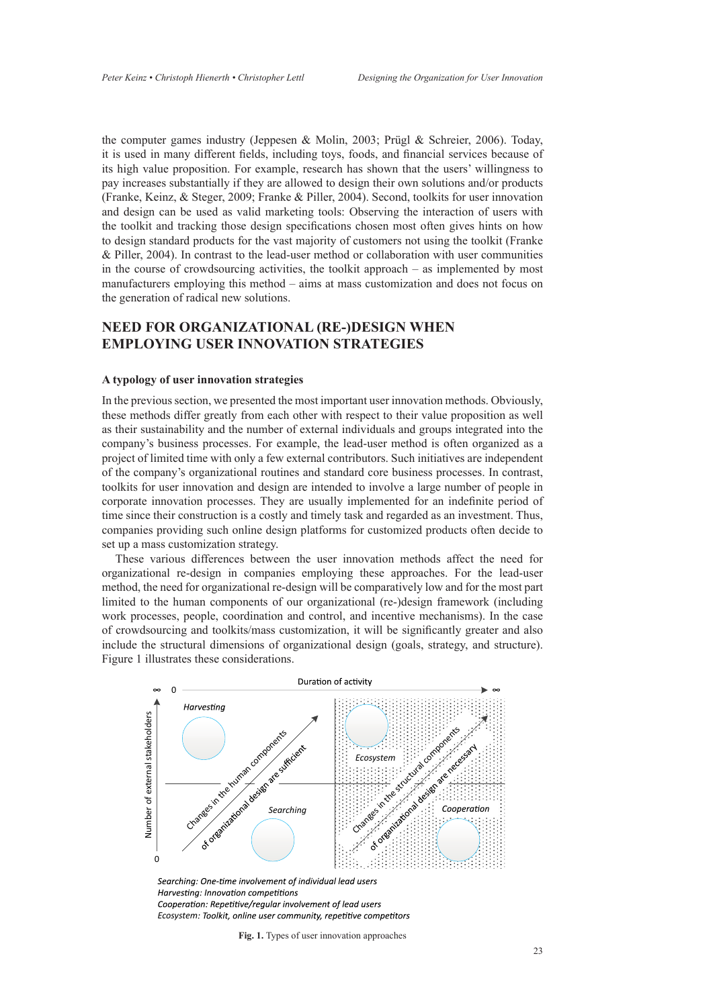the computer games industry (Jeppesen & Molin, 2003; Prügl & Schreier, 2006). Today, it is used in many different fields, including toys, foods, and financial services because of its high value proposition. For example, research has shown that the users' willingness to pay increases substantially if they are allowed to design their own solutions and/or products (Franke, Keinz, & Steger, 2009; Franke & Piller, 2004). Second, toolkits for user innovation and design can be used as valid marketing tools: Observing the interaction of users with the toolkit and tracking those design specifications chosen most often gives hints on how to design standard products for the vast majority of customers not using the toolkit (Franke & Piller, 2004). In contrast to the lead-user method or collaboration with user communities in the course of crowdsourcing activities, the toolkit approach – as implemented by most manufacturers employing this method – aims at mass customization and does not focus on the generation of radical new solutions.

# **Need for Organizational (Re-)Design when Employing User Innovation Strategies**

### **A typology of user innovation strategies**

In the previous section, we presented the most important user innovation methods. Obviously, these methods differ greatly from each other with respect to their value proposition as well as their sustainability and the number of external individuals and groups integrated into the company's business processes. For example, the lead-user method is often organized as a project of limited time with only a few external contributors. Such initiatives are independent of the company's organizational routines and standard core business processes. In contrast, toolkits for user innovation and design are intended to involve a large number of people in corporate innovation processes. They are usually implemented for an indefinite period of time since their construction is a costly and timely task and regarded as an investment. Thus, companies providing such online design platforms for customized products often decide to set up a mass customization strategy.

These various differences between the user innovation methods affect the need for organizational re-design in companies employing these approaches. For the lead-user method, the need for organizational re-design will be comparatively low and for the most part limited to the human components of our organizational (re-)design framework (including work processes, people, coordination and control, and incentive mechanisms). In the case of crowdsourcing and toolkits/mass customization, it will be significantly greater and also include the structural dimensions of organizational design (goals, strategy, and structure). Figure 1 illustrates these considerations.



Harvesting: Innovation competitions Cooperation: Repetitive/regular involvement of lead users *Ecosystem*

**Fig. 1.** Types of user innovation approaches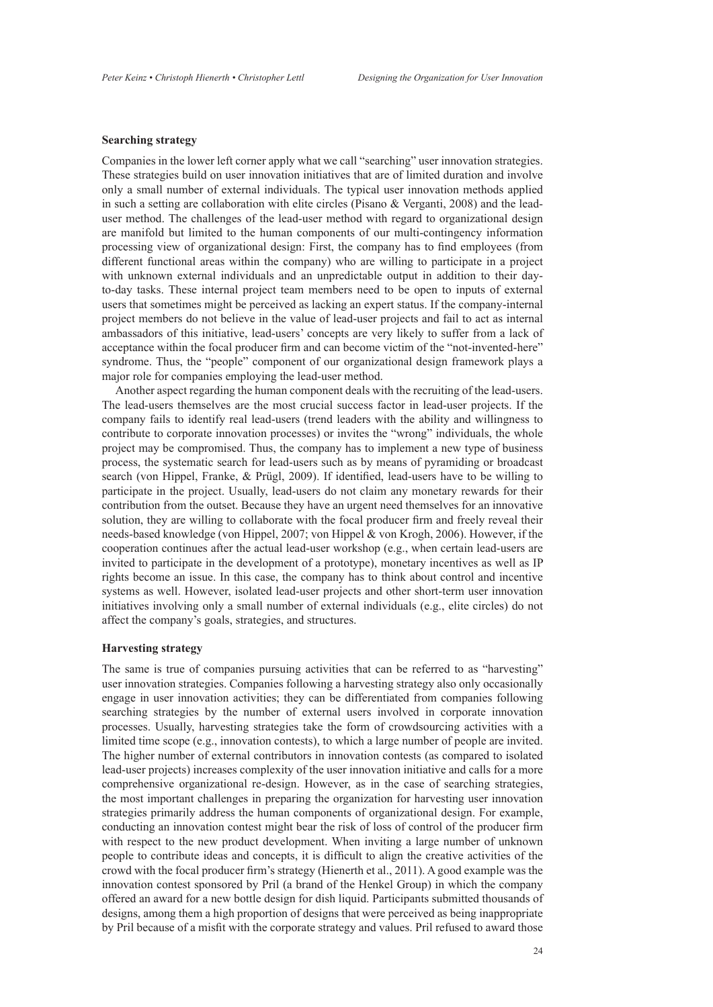### **Searching strategy**

Companies in the lower left corner apply what we call "searching" user innovation strategies. These strategies build on user innovation initiatives that are of limited duration and involve only a small number of external individuals. The typical user innovation methods applied in such a setting are collaboration with elite circles (Pisano & Verganti, 2008) and the leaduser method. The challenges of the lead-user method with regard to organizational design are manifold but limited to the human components of our multi-contingency information processing view of organizational design: First, the company has to find employees (from different functional areas within the company) who are willing to participate in a project with unknown external individuals and an unpredictable output in addition to their dayto-day tasks. These internal project team members need to be open to inputs of external users that sometimes might be perceived as lacking an expert status. If the company-internal project members do not believe in the value of lead-user projects and fail to act as internal ambassadors of this initiative, lead-users' concepts are very likely to suffer from a lack of acceptance within the focal producer firm and can become victim of the "not-invented-here" syndrome. Thus, the "people" component of our organizational design framework plays a major role for companies employing the lead-user method.

Another aspect regarding the human component deals with the recruiting of the lead-users. The lead-users themselves are the most crucial success factor in lead-user projects. If the company fails to identify real lead-users (trend leaders with the ability and willingness to contribute to corporate innovation processes) or invites the "wrong" individuals, the whole project may be compromised. Thus, the company has to implement a new type of business process, the systematic search for lead-users such as by means of pyramiding or broadcast search (von Hippel, Franke, & Prügl, 2009). If identified, lead-users have to be willing to participate in the project. Usually, lead-users do not claim any monetary rewards for their contribution from the outset. Because they have an urgent need themselves for an innovative solution, they are willing to collaborate with the focal producer firm and freely reveal their needs-based knowledge (von Hippel, 2007; von Hippel & von Krogh, 2006). However, if the cooperation continues after the actual lead-user workshop (e.g., when certain lead-users are invited to participate in the development of a prototype), monetary incentives as well as IP rights become an issue. In this case, the company has to think about control and incentive systems as well. However, isolated lead-user projects and other short-term user innovation initiatives involving only a small number of external individuals (e.g., elite circles) do not affect the company's goals, strategies, and structures.

### **Harvesting strategy**

The same is true of companies pursuing activities that can be referred to as "harvesting" user innovation strategies. Companies following a harvesting strategy also only occasionally engage in user innovation activities; they can be differentiated from companies following searching strategies by the number of external users involved in corporate innovation processes. Usually, harvesting strategies take the form of crowdsourcing activities with a limited time scope (e.g., innovation contests), to which a large number of people are invited. The higher number of external contributors in innovation contests (as compared to isolated lead-user projects) increases complexity of the user innovation initiative and calls for a more comprehensive organizational re-design. However, as in the case of searching strategies, the most important challenges in preparing the organization for harvesting user innovation strategies primarily address the human components of organizational design. For example, conducting an innovation contest might bear the risk of loss of control of the producer firm with respect to the new product development. When inviting a large number of unknown people to contribute ideas and concepts, it is difficult to align the creative activities of the crowd with the focal producer firm's strategy (Hienerth et al., 2011). A good example was the innovation contest sponsored by Pril (a brand of the Henkel Group) in which the company offered an award for a new bottle design for dish liquid. Participants submitted thousands of designs, among them a high proportion of designs that were perceived as being inappropriate by Pril because of a misfit with the corporate strategy and values. Pril refused to award those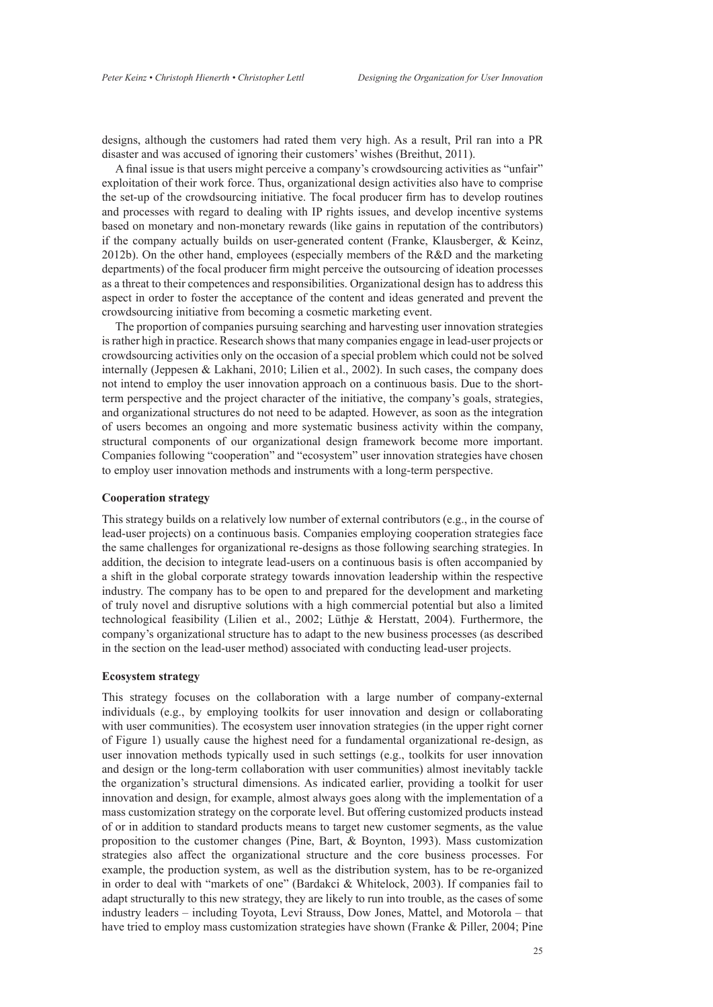designs, although the customers had rated them very high. As a result, Pril ran into a PR disaster and was accused of ignoring their customers' wishes (Breithut, 2011).

A final issue is that users might perceive a company's crowdsourcing activities as "unfair" exploitation of their work force. Thus, organizational design activities also have to comprise the set-up of the crowdsourcing initiative. The focal producer firm has to develop routines and processes with regard to dealing with IP rights issues, and develop incentive systems based on monetary and non-monetary rewards (like gains in reputation of the contributors) if the company actually builds on user-generated content (Franke, Klausberger, & Keinz, 2012b). On the other hand, employees (especially members of the R&D and the marketing departments) of the focal producer firm might perceive the outsourcing of ideation processes as a threat to their competences and responsibilities. Organizational design has to address this aspect in order to foster the acceptance of the content and ideas generated and prevent the crowdsourcing initiative from becoming a cosmetic marketing event.

The proportion of companies pursuing searching and harvesting user innovation strategies is rather high in practice. Research shows that many companies engage in lead-user projects or crowdsourcing activities only on the occasion of a special problem which could not be solved internally (Jeppesen & Lakhani, 2010; Lilien et al., 2002). In such cases, the company does not intend to employ the user innovation approach on a continuous basis. Due to the shortterm perspective and the project character of the initiative, the company's goals, strategies, and organizational structures do not need to be adapted. However, as soon as the integration of users becomes an ongoing and more systematic business activity within the company, structural components of our organizational design framework become more important. Companies following "cooperation" and "ecosystem" user innovation strategies have chosen to employ user innovation methods and instruments with a long-term perspective.

### **Cooperation strategy**

This strategy builds on a relatively low number of external contributors (e.g., in the course of lead-user projects) on a continuous basis. Companies employing cooperation strategies face the same challenges for organizational re-designs as those following searching strategies. In addition, the decision to integrate lead-users on a continuous basis is often accompanied by a shift in the global corporate strategy towards innovation leadership within the respective industry. The company has to be open to and prepared for the development and marketing of truly novel and disruptive solutions with a high commercial potential but also a limited technological feasibility (Lilien et al., 2002; Lüthje & Herstatt, 2004). Furthermore, the company's organizational structure has to adapt to the new business processes (as described in the section on the lead-user method) associated with conducting lead-user projects.

### **Ecosystem strategy**

This strategy focuses on the collaboration with a large number of company-external individuals (e.g., by employing toolkits for user innovation and design or collaborating with user communities). The ecosystem user innovation strategies (in the upper right corner of Figure 1) usually cause the highest need for a fundamental organizational re-design, as user innovation methods typically used in such settings (e.g., toolkits for user innovation and design or the long-term collaboration with user communities) almost inevitably tackle the organization's structural dimensions. As indicated earlier, providing a toolkit for user innovation and design, for example, almost always goes along with the implementation of a mass customization strategy on the corporate level. But offering customized products instead of or in addition to standard products means to target new customer segments, as the value proposition to the customer changes (Pine, Bart, & Boynton, 1993). Mass customization strategies also affect the organizational structure and the core business processes. For example, the production system, as well as the distribution system, has to be re-organized in order to deal with "markets of one" (Bardakci & Whitelock, 2003). If companies fail to adapt structurally to this new strategy, they are likely to run into trouble, as the cases of some industry leaders – including Toyota, Levi Strauss, Dow Jones, Mattel, and Motorola – that have tried to employ mass customization strategies have shown (Franke & Piller, 2004; Pine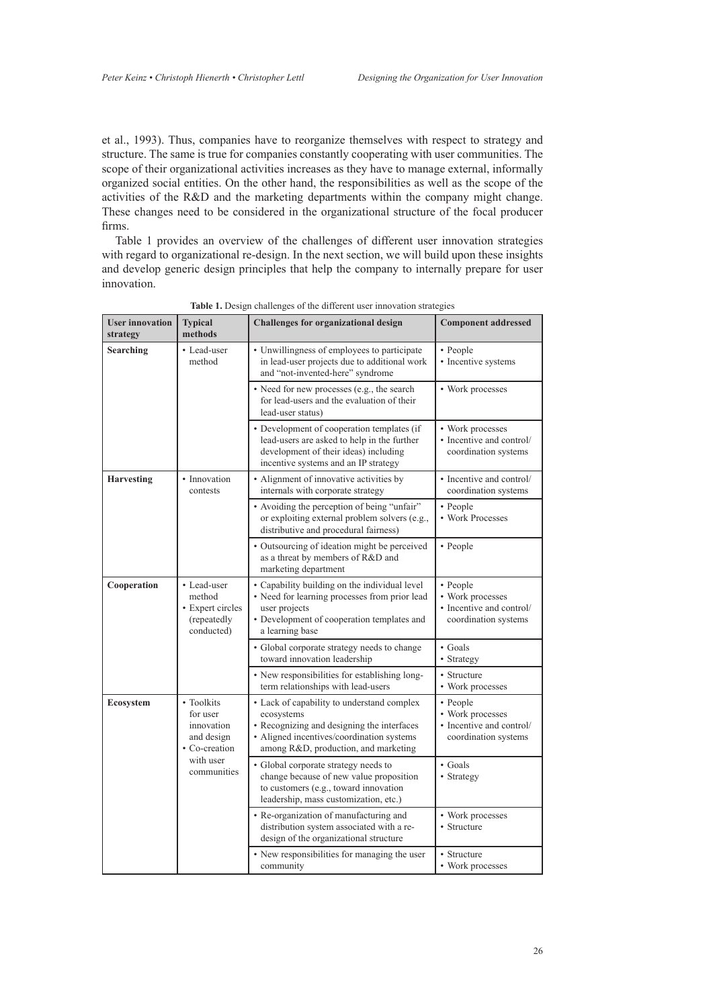et al., 1993). Thus, companies have to reorganize themselves with respect to strategy and structure. The same is true for companies constantly cooperating with user communities. The scope of their organizational activities increases as they have to manage external, informally organized social entities. On the other hand, the responsibilities as well as the scope of the activities of the R&D and the marketing departments within the company might change. These changes need to be considered in the organizational structure of the focal producer firms.

Table 1 provides an overview of the challenges of different user innovation strategies with regard to organizational re-design. In the next section, we will build upon these insights and develop generic design principles that help the company to internally prepare for user innovation.

| <b>User innovation</b><br>strategy | <b>Typical</b><br>methods                                                                       | <b>Challenges for organizational design</b>                                                                                                                                                 | <b>Component addressed</b>                                                       |
|------------------------------------|-------------------------------------------------------------------------------------------------|---------------------------------------------------------------------------------------------------------------------------------------------------------------------------------------------|----------------------------------------------------------------------------------|
| Searching                          | • Lead-user<br>method                                                                           | • Unwillingness of employees to participate<br>in lead-user projects due to additional work<br>and "not-invented-here" syndrome                                                             | • People<br>• Incentive systems                                                  |
|                                    |                                                                                                 | • Need for new processes (e.g., the search<br>for lead-users and the evaluation of their<br>lead-user status)                                                                               | • Work processes                                                                 |
|                                    |                                                                                                 | • Development of cooperation templates (if<br>lead-users are asked to help in the further<br>development of their ideas) including<br>incentive systems and an IP strategy                  | • Work processes<br>• Incentive and control/<br>coordination systems             |
| <b>Harvesting</b>                  | • Innovation<br>contests                                                                        | • Alignment of innovative activities by<br>internals with corporate strategy                                                                                                                | • Incentive and control/<br>coordination systems                                 |
|                                    |                                                                                                 | • Avoiding the perception of being "unfair"<br>or exploiting external problem solvers (e.g.,<br>distributive and procedural fairness)                                                       | • People<br>• Work Processes                                                     |
|                                    |                                                                                                 | • Outsourcing of ideation might be perceived<br>as a threat by members of R&D and<br>marketing department                                                                                   | • People                                                                         |
| Cooperation                        | • Lead-user<br>method<br>• Expert circles<br>(repeatedly<br>conducted)                          | • Capability building on the individual level<br>• Need for learning processes from prior lead<br>user projects<br>• Development of cooperation templates and<br>a learning base            | • People<br>• Work processes<br>• Incentive and control/<br>coordination systems |
|                                    |                                                                                                 | • Global corporate strategy needs to change<br>toward innovation leadership                                                                                                                 | $\bullet$ Goals<br>• Strategy                                                    |
|                                    |                                                                                                 | • New responsibilities for establishing long-<br>term relationships with lead-users                                                                                                         | • Structure<br>• Work processes                                                  |
| Ecosystem                          | • Toolkits<br>for user<br>innovation<br>and design<br>• Co-creation<br>with user<br>communities | • Lack of capability to understand complex<br>ecosystems<br>• Recognizing and designing the interfaces<br>• Aligned incentives/coordination systems<br>among R&D, production, and marketing | • People<br>• Work processes<br>• Incentive and control/<br>coordination systems |
|                                    |                                                                                                 | • Global corporate strategy needs to<br>change because of new value proposition<br>to customers (e.g., toward innovation<br>leadership, mass customization, etc.)                           | $\bullet$ Goals<br>• Strategy                                                    |
|                                    |                                                                                                 | • Re-organization of manufacturing and<br>distribution system associated with a re-<br>design of the organizational structure                                                               | • Work processes<br>• Structure                                                  |
|                                    |                                                                                                 | • New responsibilities for managing the user<br>community                                                                                                                                   | • Structure<br>• Work processes                                                  |

**Table 1.** Design challenges of the different user innovation strategies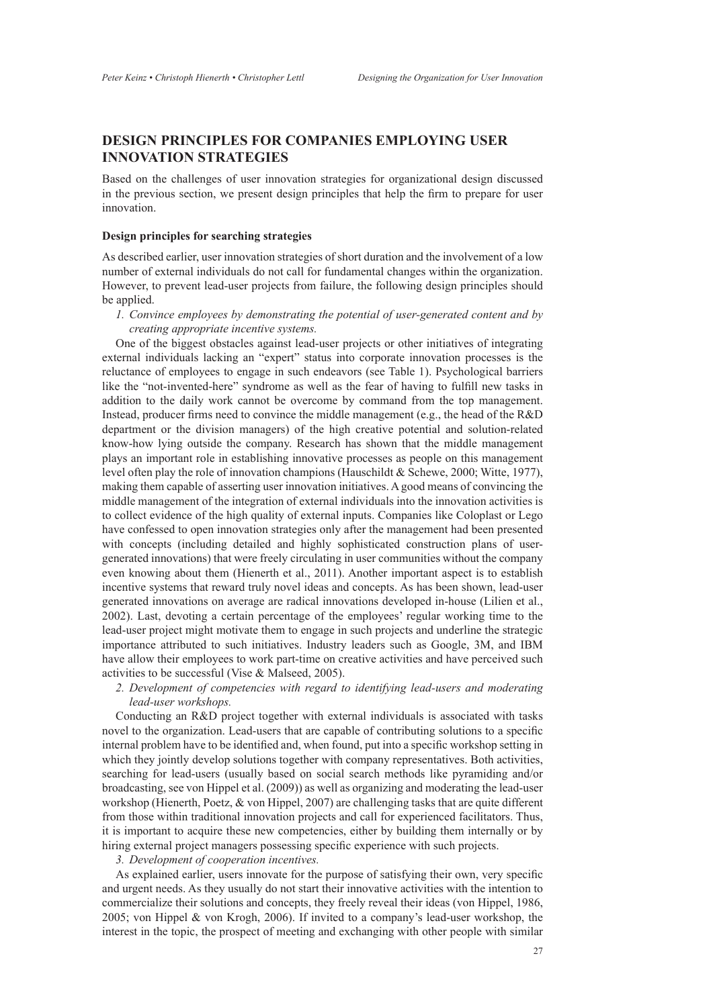# **Design Principles for Companies Employing User Innovation Strategies**

Based on the challenges of user innovation strategies for organizational design discussed in the previous section, we present design principles that help the firm to prepare for user innovation.

### **Design principles for searching strategies**

As described earlier, user innovation strategies of short duration and the involvement of a low number of external individuals do not call for fundamental changes within the organization. However, to prevent lead-user projects from failure, the following design principles should be applied.

*1. Convince employees by demonstrating the potential of user-generated content and by creating appropriate incentive systems.*

One of the biggest obstacles against lead-user projects or other initiatives of integrating external individuals lacking an "expert" status into corporate innovation processes is the reluctance of employees to engage in such endeavors (see Table 1). Psychological barriers like the "not-invented-here" syndrome as well as the fear of having to fulfill new tasks in addition to the daily work cannot be overcome by command from the top management. Instead, producer firms need to convince the middle management (e.g., the head of the R&D department or the division managers) of the high creative potential and solution-related know-how lying outside the company. Research has shown that the middle management plays an important role in establishing innovative processes as people on this management level often play the role of innovation champions (Hauschildt & Schewe, 2000; Witte, 1977), making them capable of asserting user innovation initiatives. A good means of convincing the middle management of the integration of external individuals into the innovation activities is to collect evidence of the high quality of external inputs. Companies like Coloplast or Lego have confessed to open innovation strategies only after the management had been presented with concepts (including detailed and highly sophisticated construction plans of usergenerated innovations) that were freely circulating in user communities without the company even knowing about them (Hienerth et al., 2011). Another important aspect is to establish incentive systems that reward truly novel ideas and concepts. As has been shown, lead-user generated innovations on average are radical innovations developed in-house (Lilien et al., 2002). Last, devoting a certain percentage of the employees' regular working time to the lead-user project might motivate them to engage in such projects and underline the strategic importance attributed to such initiatives. Industry leaders such as Google, 3M, and IBM have allow their employees to work part-time on creative activities and have perceived such activities to be successful (Vise & Malseed, 2005).

*2. Development of competencies with regard to identifying lead-users and moderating lead-user workshops.*

Conducting an R&D project together with external individuals is associated with tasks novel to the organization. Lead-users that are capable of contributing solutions to a specific internal problem have to be identified and, when found, put into a specific workshop setting in which they jointly develop solutions together with company representatives. Both activities, searching for lead-users (usually based on social search methods like pyramiding and/or broadcasting, see von Hippel et al. (2009)) as well as organizing and moderating the lead-user workshop (Hienerth, Poetz, & von Hippel, 2007) are challenging tasks that are quite different from those within traditional innovation projects and call for experienced facilitators. Thus, it is important to acquire these new competencies, either by building them internally or by hiring external project managers possessing specific experience with such projects.

*3. Development of cooperation incentives.*

As explained earlier, users innovate for the purpose of satisfying their own, very specific and urgent needs. As they usually do not start their innovative activities with the intention to commercialize their solutions and concepts, they freely reveal their ideas (von Hippel, 1986, 2005; von Hippel & von Krogh, 2006). If invited to a company's lead-user workshop, the interest in the topic, the prospect of meeting and exchanging with other people with similar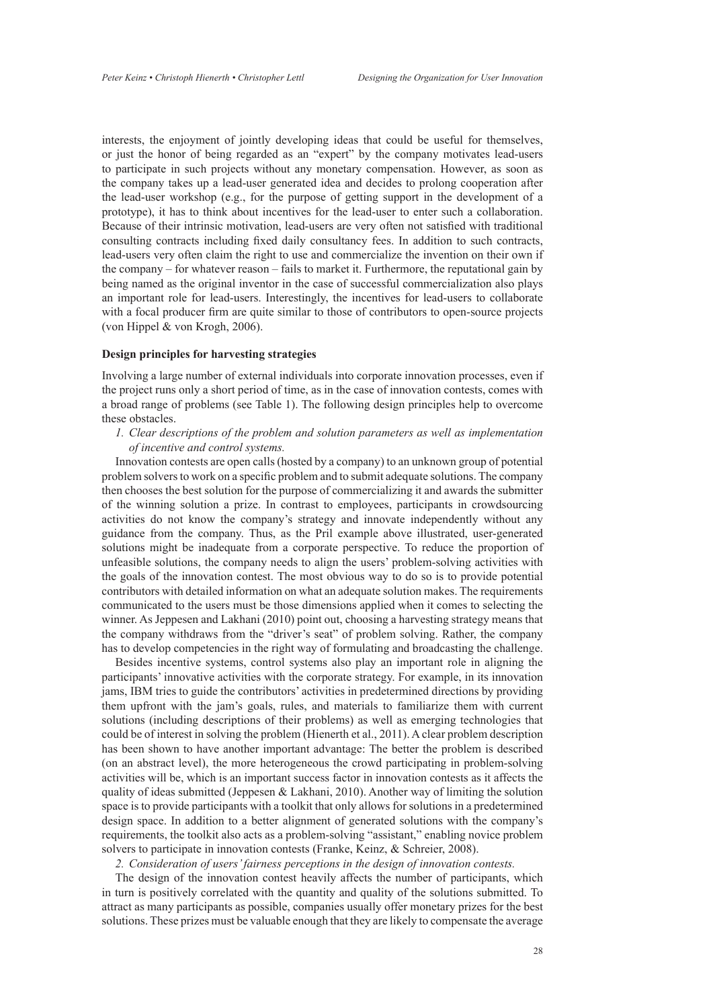interests, the enjoyment of jointly developing ideas that could be useful for themselves, or just the honor of being regarded as an "expert" by the company motivates lead-users to participate in such projects without any monetary compensation. However, as soon as the company takes up a lead-user generated idea and decides to prolong cooperation after the lead-user workshop (e.g., for the purpose of getting support in the development of a prototype), it has to think about incentives for the lead-user to enter such a collaboration. Because of their intrinsic motivation, lead-users are very often not satisfied with traditional consulting contracts including fixed daily consultancy fees. In addition to such contracts, lead-users very often claim the right to use and commercialize the invention on their own if the company – for whatever reason – fails to market it. Furthermore, the reputational gain by being named as the original inventor in the case of successful commercialization also plays an important role for lead-users. Interestingly, the incentives for lead-users to collaborate with a focal producer firm are quite similar to those of contributors to open-source projects (von Hippel & von Krogh, 2006).

### **Design principles for harvesting strategies**

Involving a large number of external individuals into corporate innovation processes, even if the project runs only a short period of time, as in the case of innovation contests, comes with a broad range of problems (see Table 1). The following design principles help to overcome these obstacles.

*1. Clear descriptions of the problem and solution parameters as well as implementation of incentive and control systems.*

Innovation contests are open calls (hosted by a company) to an unknown group of potential problem solvers to work on a specific problem and to submit adequate solutions. The company then chooses the best solution for the purpose of commercializing it and awards the submitter of the winning solution a prize. In contrast to employees, participants in crowdsourcing activities do not know the company's strategy and innovate independently without any guidance from the company. Thus, as the Pril example above illustrated, user-generated solutions might be inadequate from a corporate perspective. To reduce the proportion of unfeasible solutions, the company needs to align the users' problem-solving activities with the goals of the innovation contest. The most obvious way to do so is to provide potential contributors with detailed information on what an adequate solution makes. The requirements communicated to the users must be those dimensions applied when it comes to selecting the winner. As Jeppesen and Lakhani (2010) point out, choosing a harvesting strategy means that the company withdraws from the "driver's seat" of problem solving. Rather, the company has to develop competencies in the right way of formulating and broadcasting the challenge.

Besides incentive systems, control systems also play an important role in aligning the participants' innovative activities with the corporate strategy. For example, in its innovation jams, IBM tries to guide the contributors' activities in predetermined directions by providing them upfront with the jam's goals, rules, and materials to familiarize them with current solutions (including descriptions of their problems) as well as emerging technologies that could be of interest in solving the problem (Hienerth et al., 2011). A clear problem description has been shown to have another important advantage: The better the problem is described (on an abstract level), the more heterogeneous the crowd participating in problem-solving activities will be, which is an important success factor in innovation contests as it affects the quality of ideas submitted (Jeppesen  $&$  Lakhani, 2010). Another way of limiting the solution space is to provide participants with a toolkit that only allows for solutions in a predetermined design space. In addition to a better alignment of generated solutions with the company's requirements, the toolkit also acts as a problem-solving "assistant," enabling novice problem solvers to participate in innovation contests (Franke, Keinz, & Schreier, 2008).

*2. Consideration of users' fairness perceptions in the design of innovation contests.*

The design of the innovation contest heavily affects the number of participants, which in turn is positively correlated with the quantity and quality of the solutions submitted. To attract as many participants as possible, companies usually offer monetary prizes for the best solutions. These prizes must be valuable enough that they are likely to compensate the average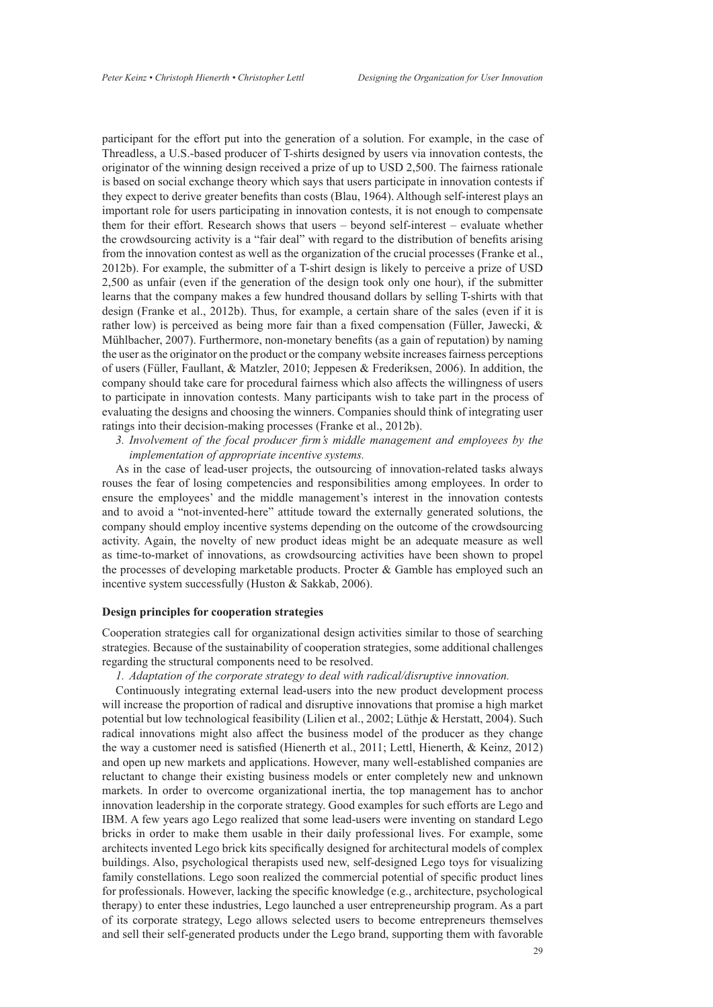participant for the effort put into the generation of a solution. For example, in the case of Threadless, a U.S.-based producer of T-shirts designed by users via innovation contests, the originator of the winning design received a prize of up to USD 2,500. The fairness rationale is based on social exchange theory which says that users participate in innovation contests if they expect to derive greater benefits than costs (Blau, 1964). Although self-interest plays an important role for users participating in innovation contests, it is not enough to compensate them for their effort. Research shows that users – beyond self-interest – evaluate whether the crowdsourcing activity is a "fair deal" with regard to the distribution of benefits arising from the innovation contest as well as the organization of the crucial processes (Franke et al., 2012b). For example, the submitter of a T-shirt design is likely to perceive a prize of USD 2,500 as unfair (even if the generation of the design took only one hour), if the submitter learns that the company makes a few hundred thousand dollars by selling T-shirts with that design (Franke et al., 2012b). Thus, for example, a certain share of the sales (even if it is rather low) is perceived as being more fair than a fixed compensation (Füller, Jawecki, & Mühlbacher, 2007). Furthermore, non-monetary benefits (as a gain of reputation) by naming the user as the originator on the product or the company website increases fairness perceptions of users (Füller, Faullant, & Matzler, 2010; Jeppesen & Frederiksen, 2006). In addition, the company should take care for procedural fairness which also affects the willingness of users to participate in innovation contests. Many participants wish to take part in the process of evaluating the designs and choosing the winners. Companies should think of integrating user ratings into their decision-making processes (Franke et al., 2012b).

*3. Involvement of the focal producer firm's middle management and employees by the implementation of appropriate incentive systems.*

As in the case of lead-user projects, the outsourcing of innovation-related tasks always rouses the fear of losing competencies and responsibilities among employees. In order to ensure the employees' and the middle management's interest in the innovation contests and to avoid a "not-invented-here" attitude toward the externally generated solutions, the company should employ incentive systems depending on the outcome of the crowdsourcing activity. Again, the novelty of new product ideas might be an adequate measure as well as time-to-market of innovations, as crowdsourcing activities have been shown to propel the processes of developing marketable products. Procter  $\&$  Gamble has employed such an incentive system successfully (Huston & Sakkab, 2006).

## **Design principles for cooperation strategies**

Cooperation strategies call for organizational design activities similar to those of searching strategies. Because of the sustainability of cooperation strategies, some additional challenges regarding the structural components need to be resolved.

*1. Adaptation of the corporate strategy to deal with radical/disruptive innovation.*

Continuously integrating external lead-users into the new product development process will increase the proportion of radical and disruptive innovations that promise a high market potential but low technological feasibility (Lilien et al., 2002; Lüthje & Herstatt, 2004). Such radical innovations might also affect the business model of the producer as they change the way a customer need is satisfied (Hienerth et al., 2011; Lettl, Hienerth, & Keinz, 2012) and open up new markets and applications. However, many well-established companies are reluctant to change their existing business models or enter completely new and unknown markets. In order to overcome organizational inertia, the top management has to anchor innovation leadership in the corporate strategy. Good examples for such efforts are Lego and IBM. A few years ago Lego realized that some lead-users were inventing on standard Lego bricks in order to make them usable in their daily professional lives. For example, some architects invented Lego brick kits specifically designed for architectural models of complex buildings. Also, psychological therapists used new, self-designed Lego toys for visualizing family constellations. Lego soon realized the commercial potential of specific product lines for professionals. However, lacking the specific knowledge (e.g., architecture, psychological therapy) to enter these industries, Lego launched a user entrepreneurship program. As a part of its corporate strategy, Lego allows selected users to become entrepreneurs themselves and sell their self-generated products under the Lego brand, supporting them with favorable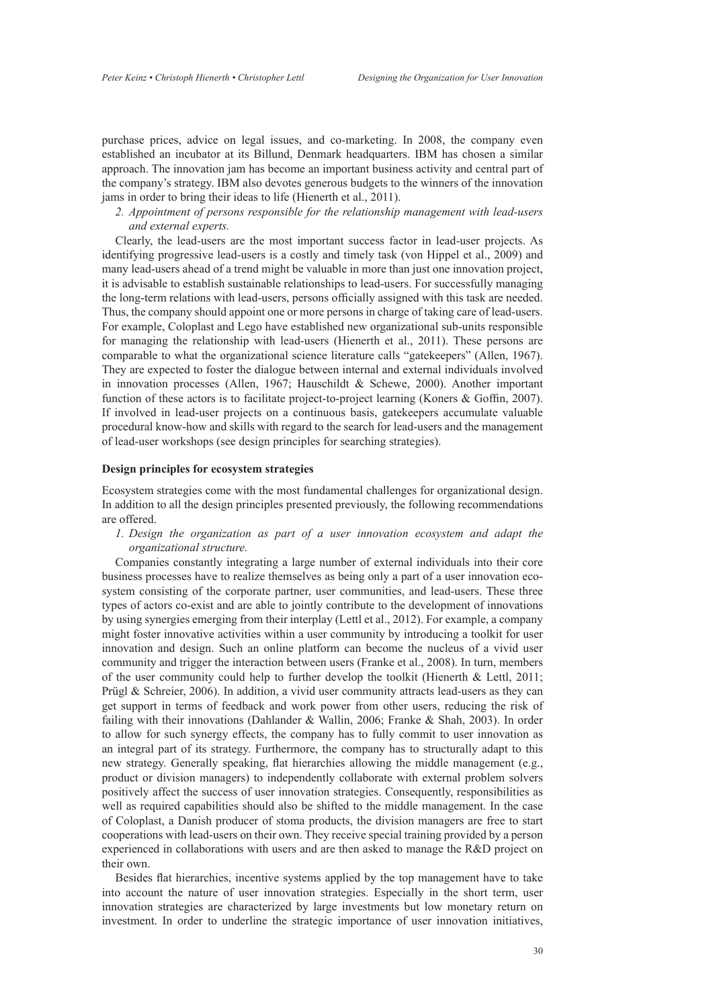purchase prices, advice on legal issues, and co-marketing. In 2008, the company even established an incubator at its Billund, Denmark headquarters. IBM has chosen a similar approach. The innovation jam has become an important business activity and central part of the company's strategy. IBM also devotes generous budgets to the winners of the innovation jams in order to bring their ideas to life (Hienerth et al., 2011).

*2. Appointment of persons responsible for the relationship management with lead-users and external experts.*

Clearly, the lead-users are the most important success factor in lead-user projects. As identifying progressive lead-users is a costly and timely task (von Hippel et al., 2009) and many lead-users ahead of a trend might be valuable in more than just one innovation project, it is advisable to establish sustainable relationships to lead-users. For successfully managing the long-term relations with lead-users, persons officially assigned with this task are needed. Thus, the company should appoint one or more persons in charge of taking care of lead-users. For example, Coloplast and Lego have established new organizational sub-units responsible for managing the relationship with lead-users (Hienerth et al., 2011). These persons are comparable to what the organizational science literature calls "gatekeepers" (Allen, 1967). They are expected to foster the dialogue between internal and external individuals involved in innovation processes (Allen, 1967; Hauschildt & Schewe, 2000). Another important function of these actors is to facilitate project-to-project learning (Koners & Goffin, 2007). If involved in lead-user projects on a continuous basis, gatekeepers accumulate valuable procedural know-how and skills with regard to the search for lead-users and the management of lead-user workshops (see design principles for searching strategies).

### **Design principles for ecosystem strategies**

Ecosystem strategies come with the most fundamental challenges for organizational design. In addition to all the design principles presented previously, the following recommendations are offered.

*1. Design the organization as part of a user innovation ecosystem and adapt the organizational structure.*

Companies constantly integrating a large number of external individuals into their core business processes have to realize themselves as being only a part of a user innovation ecosystem consisting of the corporate partner, user communities, and lead-users. These three types of actors co-exist and are able to jointly contribute to the development of innovations by using synergies emerging from their interplay (Lettl et al., 2012). For example, a company might foster innovative activities within a user community by introducing a toolkit for user innovation and design. Such an online platform can become the nucleus of a vivid user community and trigger the interaction between users (Franke et al., 2008). In turn, members of the user community could help to further develop the toolkit (Hienerth & Lettl, 2011; Prügl & Schreier, 2006). In addition, a vivid user community attracts lead-users as they can get support in terms of feedback and work power from other users, reducing the risk of failing with their innovations (Dahlander & Wallin, 2006; Franke & Shah, 2003). In order to allow for such synergy effects, the company has to fully commit to user innovation as an integral part of its strategy. Furthermore, the company has to structurally adapt to this new strategy. Generally speaking, flat hierarchies allowing the middle management (e.g., product or division managers) to independently collaborate with external problem solvers positively affect the success of user innovation strategies. Consequently, responsibilities as well as required capabilities should also be shifted to the middle management. In the case of Coloplast, a Danish producer of stoma products, the division managers are free to start cooperations with lead-users on their own. They receive special training provided by a person experienced in collaborations with users and are then asked to manage the R&D project on their own.

Besides flat hierarchies, incentive systems applied by the top management have to take into account the nature of user innovation strategies. Especially in the short term, user innovation strategies are characterized by large investments but low monetary return on investment. In order to underline the strategic importance of user innovation initiatives,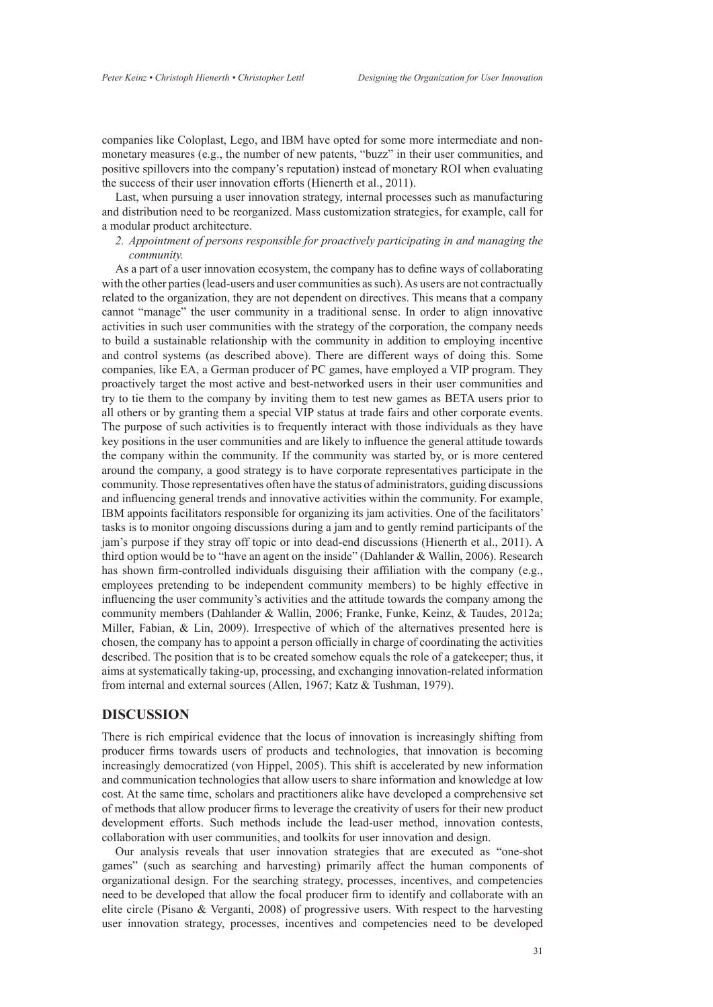companies like Coloplast, Lego, and IBM have opted for some more intermediate and nonmonetary measures (e.g., the number of new patents, "buzz" in their user communities, and positive spillovers into the company's reputation) instead of monetary ROI when evaluating the success of their user innovation efforts (Hienerth et al., 2011).

Last, when pursuing a user innovation strategy, internal processes such as manufacturing and distribution need to be reorganized. Mass customization strategies, for example, call for a modular product architecture.

*2. Appointment of persons responsible for proactively participating in and managing the community.*

As a part of a user innovation ecosystem, the company has to define ways of collaborating with the other parties (lead-users and user communities as such). As users are not contractually related to the organization, they are not dependent on directives. This means that a company cannot "manage" the user community in a traditional sense. In order to align innovative activities in such user communities with the strategy of the corporation, the company needs to build a sustainable relationship with the community in addition to employing incentive and control systems (as described above). There are different ways of doing this. Some companies, like EA, a German producer of PC games, have employed a VIP program. They proactively target the most active and best-networked users in their user communities and try to tie them to the company by inviting them to test new games as BETA users prior to all others or by granting them a special VIP status at trade fairs and other corporate events. The purpose of such activities is to frequently interact with those individuals as they have key positions in the user communities and are likely to influence the general attitude towards the company within the community. If the community was started by, or is more centered around the company, a good strategy is to have corporate representatives participate in the community. Those representatives often have the status of administrators, guiding discussions and influencing general trends and innovative activities within the community. For example, IBM appoints facilitators responsible for organizing its jam activities. One of the facilitators' tasks is to monitor ongoing discussions during a jam and to gently remind participants of the jam's purpose if they stray off topic or into dead-end discussions (Hienerth et al., 2011). A third option would be to "have an agent on the inside" (Dahlander & Wallin, 2006). Research has shown firm-controlled individuals disguising their affiliation with the company (e.g., employees pretending to be independent community members) to be highly effective in influencing the user community's activities and the attitude towards the company among the community members (Dahlander & Wallin, 2006; Franke, Funke, Keinz, & Taudes, 2012a; Miller, Fabian, & Lin, 2009). Irrespective of which of the alternatives presented here is chosen, the company has to appoint a person officially in charge of coordinating the activities described. The position that is to be created somehow equals the role of a gatekeeper; thus, it aims at systematically taking-up, processing, and exchanging innovation-related information from internal and external sources (Allen, 1967; Katz & Tushman, 1979).

### **Discussion**

There is rich empirical evidence that the locus of innovation is increasingly shifting from producer firms towards users of products and technologies, that innovation is becoming increasingly democratized (von Hippel, 2005). This shift is accelerated by new information and communication technologies that allow users to share information and knowledge at low cost. At the same time, scholars and practitioners alike have developed a comprehensive set of methods that allow producer firms to leverage the creativity of users for their new product development efforts. Such methods include the lead-user method, innovation contests, collaboration with user communities, and toolkits for user innovation and design.

Our analysis reveals that user innovation strategies that are executed as "one-shot games" (such as searching and harvesting) primarily affect the human components of organizational design. For the searching strategy, processes, incentives, and competencies need to be developed that allow the focal producer firm to identify and collaborate with an elite circle (Pisano & Verganti, 2008) of progressive users. With respect to the harvesting user innovation strategy, processes, incentives and competencies need to be developed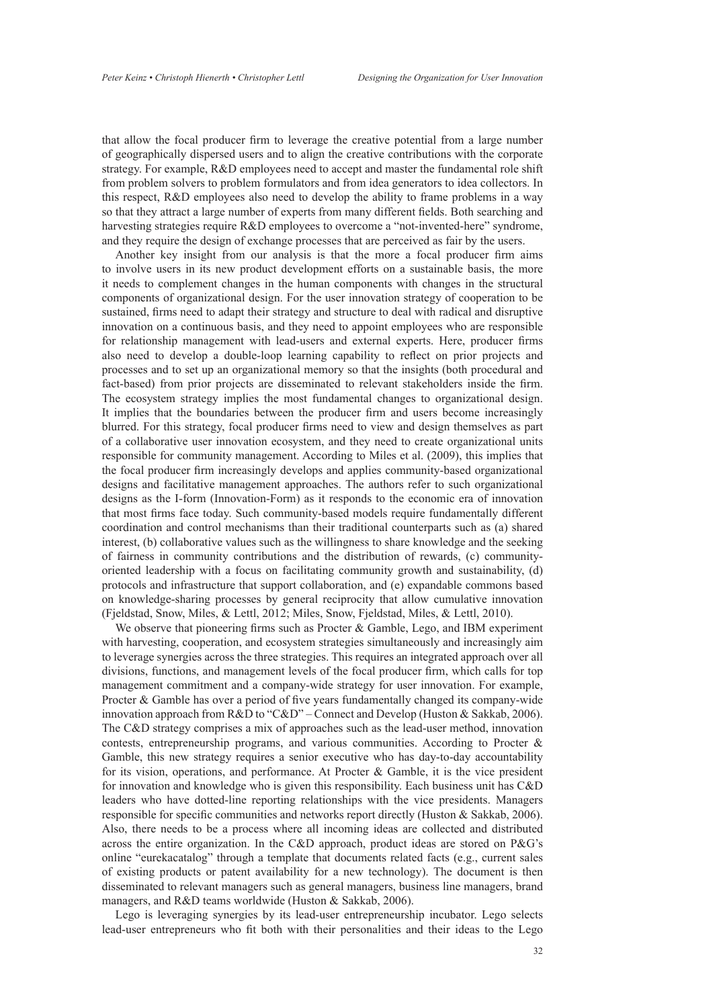that allow the focal producer firm to leverage the creative potential from a large number of geographically dispersed users and to align the creative contributions with the corporate strategy. For example, R&D employees need to accept and master the fundamental role shift from problem solvers to problem formulators and from idea generators to idea collectors. In this respect, R&D employees also need to develop the ability to frame problems in a way so that they attract a large number of experts from many different fields. Both searching and harvesting strategies require R&D employees to overcome a "not-invented-here" syndrome, and they require the design of exchange processes that are perceived as fair by the users.

Another key insight from our analysis is that the more a focal producer firm aims to involve users in its new product development efforts on a sustainable basis, the more it needs to complement changes in the human components with changes in the structural components of organizational design. For the user innovation strategy of cooperation to be sustained, firms need to adapt their strategy and structure to deal with radical and disruptive innovation on a continuous basis, and they need to appoint employees who are responsible for relationship management with lead-users and external experts. Here, producer firms also need to develop a double-loop learning capability to reflect on prior projects and processes and to set up an organizational memory so that the insights (both procedural and fact-based) from prior projects are disseminated to relevant stakeholders inside the firm. The ecosystem strategy implies the most fundamental changes to organizational design. It implies that the boundaries between the producer firm and users become increasingly blurred. For this strategy, focal producer firms need to view and design themselves as part of a collaborative user innovation ecosystem, and they need to create organizational units responsible for community management. According to Miles et al. (2009), this implies that the focal producer firm increasingly develops and applies community-based organizational designs and facilitative management approaches. The authors refer to such organizational designs as the I-form (Innovation-Form) as it responds to the economic era of innovation that most firms face today. Such community-based models require fundamentally different coordination and control mechanisms than their traditional counterparts such as (a) shared interest, (b) collaborative values such as the willingness to share knowledge and the seeking of fairness in community contributions and the distribution of rewards, (c) communityoriented leadership with a focus on facilitating community growth and sustainability, (d) protocols and infrastructure that support collaboration, and (e) expandable commons based on knowledge-sharing processes by general reciprocity that allow cumulative innovation (Fjeldstad, Snow, Miles, & Lettl, 2012; Miles, Snow, Fjeldstad, Miles, & Lettl, 2010).

We observe that pioneering firms such as Procter  $\&$  Gamble, Lego, and IBM experiment with harvesting, cooperation, and ecosystem strategies simultaneously and increasingly aim to leverage synergies across the three strategies. This requires an integrated approach over all divisions, functions, and management levels of the focal producer firm, which calls for top management commitment and a company-wide strategy for user innovation. For example, Procter & Gamble has over a period of five years fundamentally changed its company-wide innovation approach from R&D to "C&D" – Connect and Develop (Huston & Sakkab, 2006). The C&D strategy comprises a mix of approaches such as the lead-user method, innovation contests, entrepreneurship programs, and various communities. According to Procter & Gamble, this new strategy requires a senior executive who has day-to-day accountability for its vision, operations, and performance. At Procter & Gamble, it is the vice president for innovation and knowledge who is given this responsibility. Each business unit has C&D leaders who have dotted-line reporting relationships with the vice presidents. Managers responsible for specific communities and networks report directly (Huston & Sakkab, 2006). Also, there needs to be a process where all incoming ideas are collected and distributed across the entire organization. In the C&D approach, product ideas are stored on P&G's online "eurekacatalog" through a template that documents related facts (e.g., current sales of existing products or patent availability for a new technology). The document is then disseminated to relevant managers such as general managers, business line managers, brand managers, and R&D teams worldwide (Huston & Sakkab, 2006).

Lego is leveraging synergies by its lead-user entrepreneurship incubator. Lego selects lead-user entrepreneurs who fit both with their personalities and their ideas to the Lego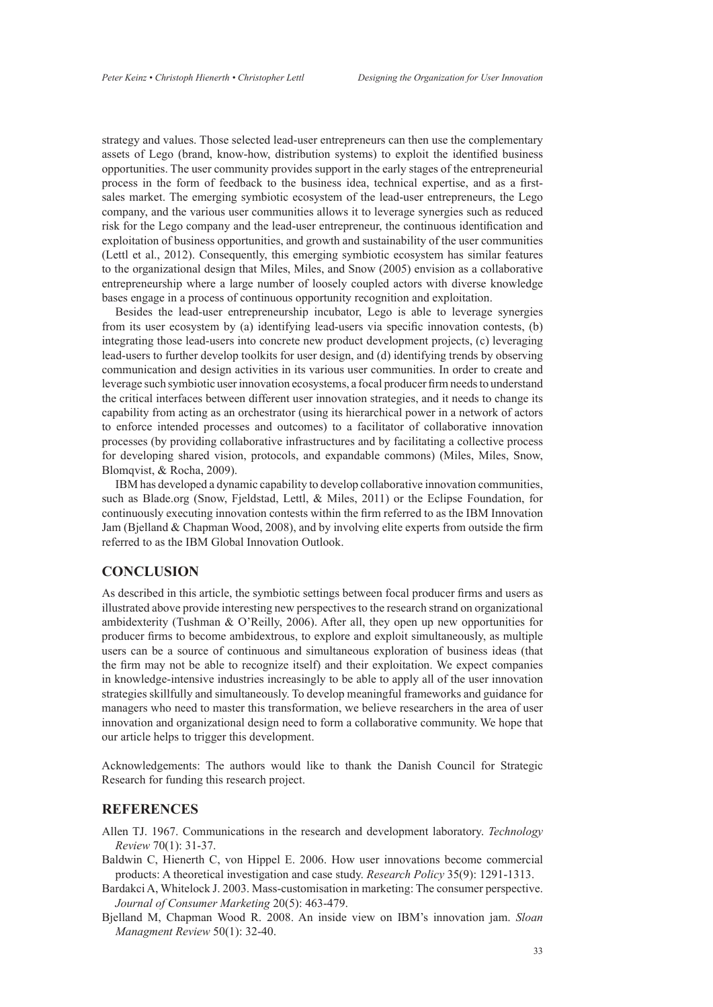strategy and values. Those selected lead-user entrepreneurs can then use the complementary assets of Lego (brand, know-how, distribution systems) to exploit the identified business opportunities. The user community provides support in the early stages of the entrepreneurial process in the form of feedback to the business idea, technical expertise, and as a firstsales market. The emerging symbiotic ecosystem of the lead-user entrepreneurs, the Lego company, and the various user communities allows it to leverage synergies such as reduced risk for the Lego company and the lead-user entrepreneur, the continuous identification and exploitation of business opportunities, and growth and sustainability of the user communities (Lettl et al., 2012). Consequently, this emerging symbiotic ecosystem has similar features to the organizational design that Miles, Miles, and Snow (2005) envision as a collaborative entrepreneurship where a large number of loosely coupled actors with diverse knowledge bases engage in a process of continuous opportunity recognition and exploitation.

Besides the lead-user entrepreneurship incubator, Lego is able to leverage synergies from its user ecosystem by (a) identifying lead-users via specific innovation contests, (b) integrating those lead-users into concrete new product development projects, (c) leveraging lead-users to further develop toolkits for user design, and (d) identifying trends by observing communication and design activities in its various user communities. In order to create and leverage such symbiotic user innovation ecosystems, a focal producer firm needs to understand the critical interfaces between different user innovation strategies, and it needs to change its capability from acting as an orchestrator (using its hierarchical power in a network of actors to enforce intended processes and outcomes) to a facilitator of collaborative innovation processes (by providing collaborative infrastructures and by facilitating a collective process for developing shared vision, protocols, and expandable commons) (Miles, Miles, Snow, Blomqvist, & Rocha, 2009).

IBM has developed a dynamic capability to develop collaborative innovation communities, such as Blade.org (Snow, Fjeldstad, Lettl, & Miles, 2011) or the Eclipse Foundation, for continuously executing innovation contests within the firm referred to as the IBM Innovation Jam (Bjelland & Chapman Wood, 2008), and by involving elite experts from outside the firm referred to as the IBM Global Innovation Outlook.

# **Conclusion**

As described in this article, the symbiotic settings between focal producer firms and users as illustrated above provide interesting new perspectives to the research strand on organizational ambidexterity (Tushman & O'Reilly, 2006). After all, they open up new opportunities for producer firms to become ambidextrous, to explore and exploit simultaneously, as multiple users can be a source of continuous and simultaneous exploration of business ideas (that the firm may not be able to recognize itself) and their exploitation. We expect companies in knowledge-intensive industries increasingly to be able to apply all of the user innovation strategies skillfully and simultaneously. To develop meaningful frameworks and guidance for managers who need to master this transformation, we believe researchers in the area of user innovation and organizational design need to form a collaborative community. We hope that our article helps to trigger this development.

Acknowledgements: The authors would like to thank the Danish Council for Strategic Research for funding this research project.

# **REFERENCES**

- Allen TJ. 1967. Communications in the research and development laboratory. *Technology Review* 70(1): 31-37.
- Baldwin C, Hienerth C, von Hippel E. 2006. How user innovations become commercial products: A theoretical investigation and case study. *Research Policy* 35(9): 1291-1313.
- Bardakci A, Whitelock J. 2003. Mass-customisation in marketing: The consumer perspective. *Journal of Consumer Marketing* 20(5): 463-479.
- Bjelland M, Chapman Wood R. 2008. An inside view on IBM's innovation jam. *Sloan Managment Review* 50(1): 32-40.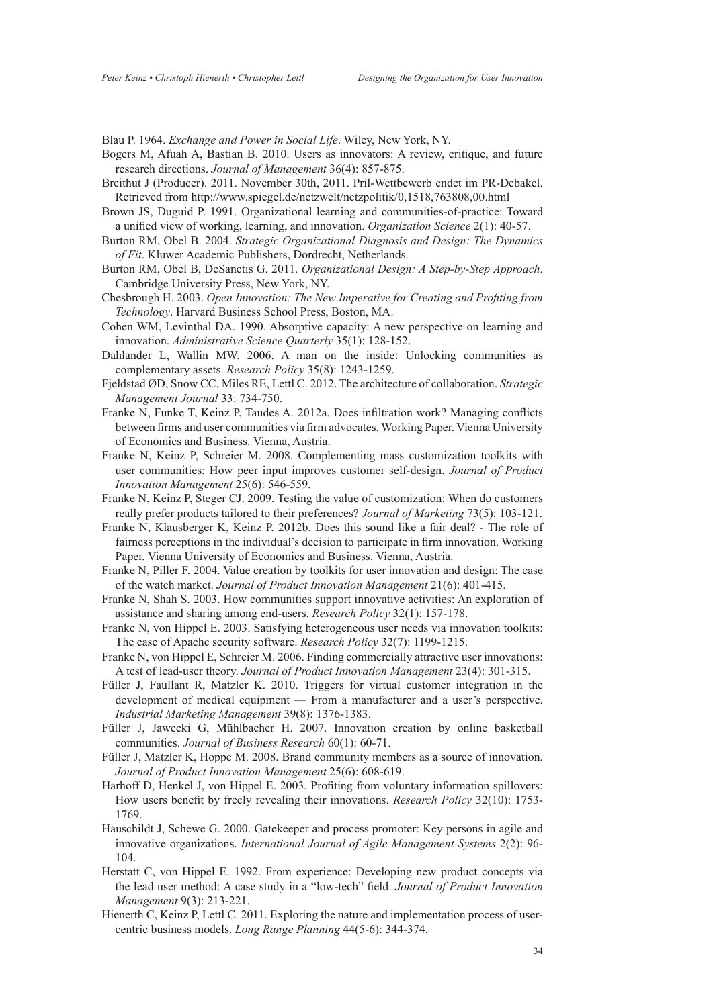Blau P. 1964. *Exchange and Power in Social Life*. Wiley, New York, NY.

- Bogers M, Afuah A, Bastian B. 2010. Users as innovators: A review, critique, and future research directions. *Journal of Management* 36(4): 857-875.
- Breithut J (Producer). 2011. November 30th, 2011. Pril-Wettbewerb endet im PR-Debakel. Retrieved from <http://www.spiegel.de/netzwelt/netzpolitik/0,1518,763808,00.html>
- Brown JS, Duguid P. 1991. Organizational learning and communities-of-practice: Toward a unified view of working, learning, and innovation. *Organization Science* 2(1): 40-57.
- Burton RM, Obel B. 2004. *Strategic Organizational Diagnosis and Design: The Dynamics of Fit*. Kluwer Academic Publishers, Dordrecht, Netherlands.
- Burton RM, Obel B, DeSanctis G. 2011. *Organizational Design: A Step-by-Step Approach*. Cambridge University Press, New York, NY.
- Chesbrough H. 2003. *Open Innovation: The New Imperative for Creating and Profiting from Technology*. Harvard Business School Press, Boston, MA.
- Cohen WM, Levinthal DA. 1990. Absorptive capacity: A new perspective on learning and innovation. *Administrative Science Quarterly* 35(1): 128-152.
- Dahlander L, Wallin MW. 2006. A man on the inside: Unlocking communities as complementary assets. *Research Policy* 35(8): 1243-1259.
- Fjeldstad ØD, Snow CC, Miles RE, Lettl C. 2012. The architecture of collaboration. *Strategic Management Journal* 33: 734-750.
- Franke N, Funke T, Keinz P, Taudes A. 2012a. Does infiltration work? Managing conflicts between firms and user communities via firm advocates. Working Paper. Vienna University of Economics and Business. Vienna, Austria.
- Franke N, Keinz P, Schreier M. 2008. Complementing mass customization toolkits with user communities: How peer input improves customer self-design. *Journal of Product Innovation Management* 25(6): 546-559.
- Franke N, Keinz P, Steger CJ. 2009. Testing the value of customization: When do customers really prefer products tailored to their preferences? *Journal of Marketing* 73(5): 103-121.
- Franke N, Klausberger K, Keinz P. 2012b. Does this sound like a fair deal? The role of fairness perceptions in the individual's decision to participate in firm innovation. Working Paper. Vienna University of Economics and Business. Vienna, Austria.
- Franke N, Piller F. 2004. Value creation by toolkits for user innovation and design: The case of the watch market. *Journal of Product Innovation Management* 21(6): 401-415.
- Franke N, Shah S. 2003. How communities support innovative activities: An exploration of assistance and sharing among end-users. *Research Policy* 32(1): 157-178.
- Franke N, von Hippel E. 2003. Satisfying heterogeneous user needs via innovation toolkits: The case of Apache security software. *Research Policy* 32(7): 1199-1215.
- Franke N, von Hippel E, Schreier M. 2006. Finding commercially attractive user innovations: A test of lead-user theory. *Journal of Product Innovation Management* 23(4): 301-315.
- Füller J, Faullant R, Matzler K. 2010. Triggers for virtual customer integration in the development of medical equipment — From a manufacturer and a user's perspective. *Industrial Marketing Management* 39(8): 1376-1383.
- Füller J, Jawecki G, Mühlbacher H. 2007. Innovation creation by online basketball communities. *Journal of Business Research* 60(1): 60-71.
- Füller J, Matzler K, Hoppe M. 2008. Brand community members as a source of innovation. *Journal of Product Innovation Management* 25(6): 608-619.
- Harhoff D, Henkel J, von Hippel E. 2003. Profiting from voluntary information spillovers: How users benefit by freely revealing their innovations. *Research Policy* 32(10): 1753- 1769.
- Hauschildt J, Schewe G. 2000. Gatekeeper and process promoter: Key persons in agile and innovative organizations. *International Journal of Agile Management Systems* 2(2): 96- 104.
- Herstatt C, von Hippel E. 1992. From experience: Developing new product concepts via the lead user method: A case study in a "low-tech" field. *Journal of Product Innovation Management* 9(3): 213-221.
- Hienerth C, Keinz P, Lettl C. 2011. Exploring the nature and implementation process of usercentric business models. *Long Range Planning* 44(5-6): 344-374.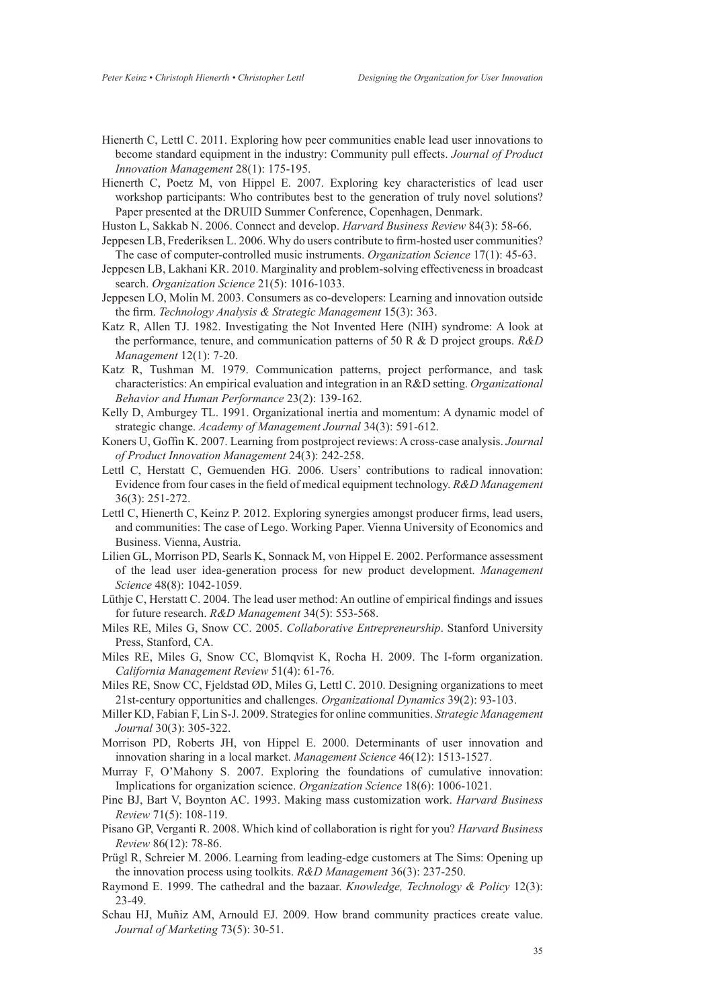- Hienerth C, Lettl C. 2011. Exploring how peer communities enable lead user innovations to become standard equipment in the industry: Community pull effects. *Journal of Product Innovation Management* 28(1): 175-195.
- Hienerth C, Poetz M, von Hippel E. 2007. Exploring key characteristics of lead user workshop participants: Who contributes best to the generation of truly novel solutions? Paper presented at the DRUID Summer Conference, Copenhagen, Denmark.
- Huston L, Sakkab N. 2006. Connect and develop. *Harvard Business Review* 84(3): 58-66.
- Jeppesen LB, Frederiksen L. 2006. Why do users contribute to firm-hosted user communities? The case of computer-controlled music instruments. *Organization Science* 17(1): 45-63.
- Jeppesen LB, Lakhani KR. 2010. Marginality and problem-solving effectiveness in broadcast search. *Organization Science* 21(5): 1016-1033.
- Jeppesen LO, Molin M. 2003. Consumers as co-developers: Learning and innovation outside the firm. *Technology Analysis & Strategic Management* 15(3): 363.
- Katz R, Allen TJ. 1982. Investigating the Not Invented Here (NIH) syndrome: A look at the performance, tenure, and communication patterns of 50 R & D project groups. *R&D Management* 12(1): 7-20.
- Katz R, Tushman M. 1979. Communication patterns, project performance, and task characteristics: An empirical evaluation and integration in an R&D setting. *Organizational Behavior and Human Performance* 23(2): 139-162.
- Kelly D, Amburgey TL. 1991. Organizational inertia and momentum: A dynamic model of strategic change. *Academy of Management Journal* 34(3): 591-612.
- Koners U, Goffin K. 2007. Learning from postproject reviews: A cross-case analysis. *Journal of Product Innovation Management* 24(3): 242-258.
- Lettl C, Herstatt C, Gemuenden HG. 2006. Users' contributions to radical innovation: Evidence from four cases in the field of medical equipment technology. *R&D Management* 36(3): 251-272.
- Lettl C, Hienerth C, Keinz P. 2012. Exploring synergies amongst producer firms, lead users, and communities: The case of Lego. Working Paper. Vienna University of Economics and Business. Vienna, Austria.
- Lilien GL, Morrison PD, Searls K, Sonnack M, von Hippel E. 2002. Performance assessment of the lead user idea-generation process for new product development. *Management Science* 48(8): 1042-1059.
- Lüthje C, Herstatt C. 2004. The lead user method: An outline of empirical findings and issues for future research. *R&D Management* 34(5): 553-568.
- Miles RE, Miles G, Snow CC. 2005. *Collaborative Entrepreneurship*. Stanford University Press, Stanford, CA.
- Miles RE, Miles G, Snow CC, Blomqvist K, Rocha H. 2009. The I-form organization. *California Management Review* 51(4): 61-76.
- Miles RE, Snow CC, Fjeldstad ØD, Miles G, Lettl C. 2010. Designing organizations to meet 21st-century opportunities and challenges. *Organizational Dynamics* 39(2): 93-103.
- Miller KD, Fabian F, Lin S-J. 2009. Strategies for online communities. *Strategic Management Journal* 30(3): 305-322.
- Morrison PD, Roberts JH, von Hippel E. 2000. Determinants of user innovation and innovation sharing in a local market. *Management Science* 46(12): 1513-1527.
- Murray F, O'Mahony S. 2007. Exploring the foundations of cumulative innovation: Implications for organization science. *Organization Science* 18(6): 1006-1021.
- Pine BJ, Bart V, Boynton AC. 1993. Making mass customization work. *Harvard Business Review* 71(5): 108-119.
- Pisano GP, Verganti R. 2008. Which kind of collaboration is right for you? *Harvard Business Review* 86(12): 78-86.
- Prügl R, Schreier M. 2006. Learning from leading-edge customers at The Sims: Opening up the innovation process using toolkits. *R&D Management* 36(3): 237-250.
- Raymond E. 1999. The cathedral and the bazaar. *Knowledge, Technology & Policy* 12(3): 23-49.
- Schau HJ, Muñiz AM, Arnould EJ. 2009. How brand community practices create value. *Journal of Marketing* 73(5): 30-51.